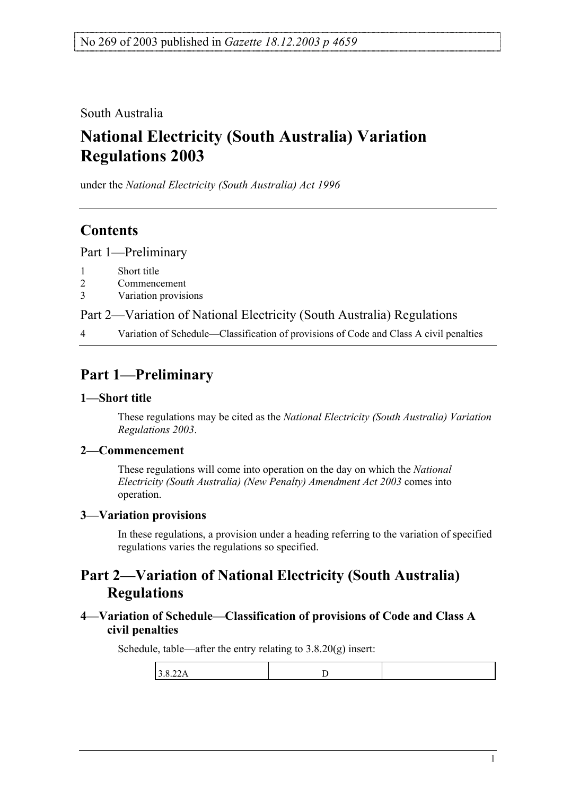South Australia

# **National Electricity (South Australia) Variation Regulations 2003**

under the *National Electricity (South Australia) Act 1996*

### **Contents**

Part 1—Preliminary

- 1 Short title
- 2 Commencement
- 3 Variation provisions

Part 2—Variation of National Electricity (South Australia) Regulations

4 Variation of Schedule—Classification of provisions of Code and Class A civil penalties

## **Part 1—Preliminary**

#### **1—Short title**

These regulations may be cited as the *National Electricity (South Australia) Variation Regulations 2003*.

#### **2—Commencement**

These regulations will come into operation on the day on which the *National Electricity (South Australia) (New Penalty) Amendment Act 2003* comes into operation.

#### **3—Variation provisions**

In these regulations, a provision under a heading referring to the variation of specified regulations varies the regulations so specified.

### **Part 2—Variation of National Electricity (South Australia) Regulations**

#### **4—Variation of Schedule—Classification of provisions of Code and Class A civil penalties**

Schedule, table—after the entry relating to 3.8.20(g) insert:

| $\sim$<br>. .<br>ັ<br>. |  |
|-------------------------|--|
|                         |  |